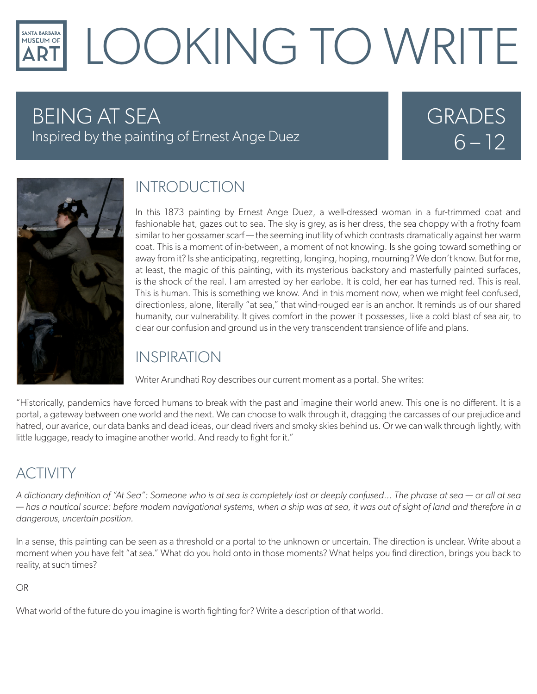### LOOKING TO WRITE **SANTA BARBARA** MUSEUM OF

# BEING AT SEA

Inspired by the painting of Ernest Ange Duez

# GRADES  $6 - 12$



### INTRODUCTION

In this 1873 painting by Ernest Ange Duez, a well-dressed woman in a fur-trimmed coat and fashionable hat, gazes out to sea. The sky is grey, as is her dress, the sea choppy with a frothy foam similar to her gossamer scarf — the seeming inutility of which contrasts dramatically against her warm coat. This is a moment of in-between, a moment of not knowing. Is she going toward something or away from it? Is she anticipating, regretting, longing, hoping, mourning? We don't know. But for me, at least, the magic of this painting, with its mysterious backstory and masterfully painted surfaces, is the shock of the real. I am arrested by her earlobe. It is cold, her ear has turned red. This is real. This is human. This is something we know. And in this moment now, when we might feel confused, directionless, alone, literally "at sea," that wind-rouged ear is an anchor. It reminds us of our shared humanity, our vulnerability. It gives comfort in the power it possesses, like a cold blast of sea air, to clear our confusion and ground us in the very transcendent transience of life and plans.

#### INSPIRATION

Writer Arundhati Roy describes our current moment as a portal. She writes:

"Historically, pandemics have forced humans to break with the past and imagine their world anew. This one is no different. It is a portal, a gateway between one world and the next. We can choose to walk through it, dragging the carcasses of our prejudice and hatred, our avarice, our data banks and dead ideas, our dead rivers and smoky skies behind us. Or we can walk through lightly, with little luggage, ready to imagine another world. And ready to fight for it."

## **ACTIVITY**

*A dictionary definition of "At Sea": Someone who is at sea is completely lost or deeply confused... The phrase at sea — or all at sea — has a nautical source: before modern navigational systems, when a ship was at sea, it was out of sight of land and therefore in a dangerous, uncertain position.* 

In a sense, this painting can be seen as a threshold or a portal to the unknown or uncertain. The direction is unclear. Write about a moment when you have felt "at sea." What do you hold onto in those moments? What helps you find direction, brings you back to reality, at such times?

#### OR

What world of the future do you imagine is worth fighting for? Write a description of that world.